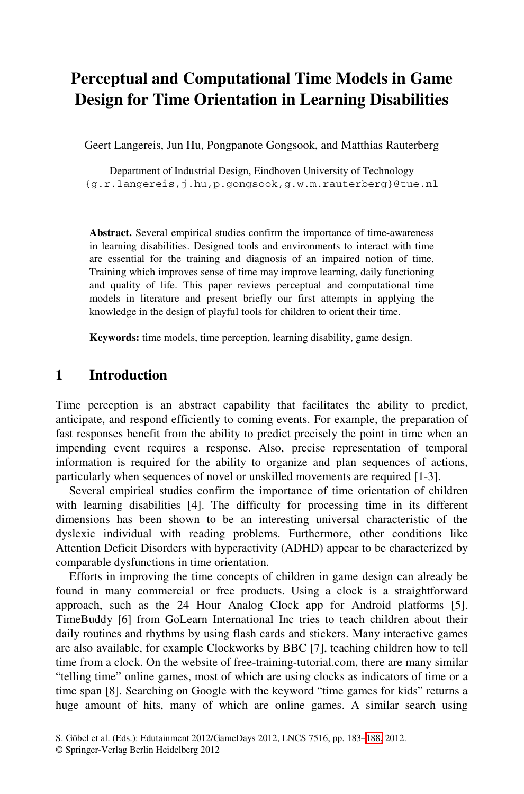# **Perceptual and Computational Time Models in Game Design for Time Orientation in Learning Disabilities**

Geert Langereis, Jun Hu, Pongpanote Gongsook, and Matthias Rauterberg

Department of Industrial Design, Eindhoven University of Technology {g.r.langereis,j.hu,p.gongsook,g.w.m.rauterberg}@tue.nl

**Abstract.** Several empirical studies confirm the importance of time-awareness in learning disabilities. Designed tools and environments to interact with time are essential for the training and diagnosis of an impaired notion of time. Training which improves sense of time may improve learning, daily functioning and quality of life. This paper reviews perceptual and computational time models in literature and present briefly our first attempts in applying the knowledge in the design of playful tools for children to orient their time.

**Keywords:** time models, time perception, learning disability, game design.

#### **1 Introduction**

Time perception is an abstract capability that facilitates the ability to predict, anticipate, and respond efficiently to coming events. For example, the preparation of fast responses benefit from the ability to predict precisely the point in time when an impending event requires a response. Also, precise representation of temporal information is required for the ability to organize and plan sequences of actions, particularly when sequences of novel or unskilled movements are required [1-3].

Several empirical studies confirm the importance of time orientation of children with learning disabilities [4]. The difficulty for processing time in its different dimensions has been shown to be an interesting universal characteristic of the dyslexic individual with reading problems. Furthermore, other conditions like Attention Deficit Disorders with hyperactivity (ADHD) appear to be characterized by comparable dysfunctions in time orientation.

Efforts in improving the time concepts of children in game design can already be found in many commercial or free products. Using a clock is a straightforward approach, such as the 24 Hour Analog Clock app for Android platforms [5]. TimeBuddy [6] from GoLearn International Inc tries to teach children about their daily routines and rhythms by using flash ca[rds a](#page-5-0)nd stickers. Many interactive games are also available, for example Clockworks by BBC [7], teaching children how to tell time from a clock. On the website of free-training-tutorial.com, there are many similar "telling time" online games, most of which are using clocks as indicators of time or a time span [8]. Searching on Google with the keyword "time games for kids" returns a huge amount of hits, many of which are online games. A similar search using

S. Göbel et al. (Eds.): Edutainment 2012/GameDays 2012, LNCS 7516, pp. 183–188, 2012.

<sup>©</sup> Springer-Verlag Berlin Heidelberg 2012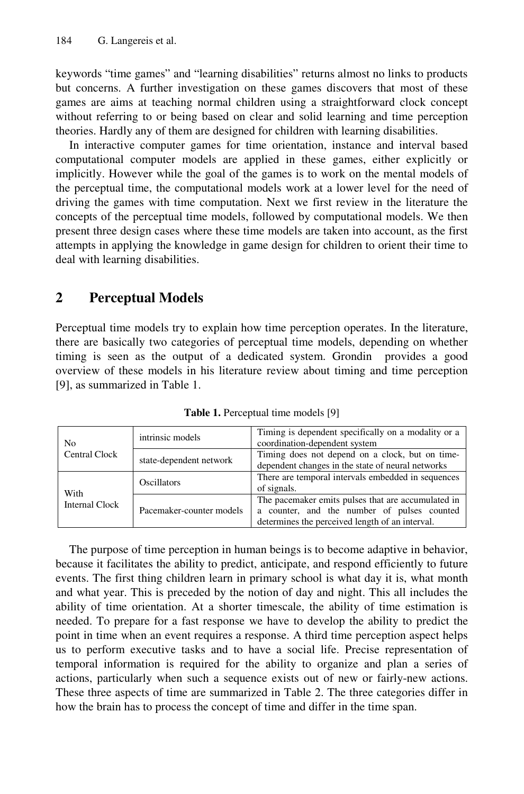keywords "time games" and "learning disabilities" returns almost no links to products but concerns. A further investigation on these games discovers that most of these games are aims at teaching normal children using a straightforward clock concept without referring to or being based on clear and solid learning and time perception theories. Hardly any of them are designed for children with learning disabilities.

In interactive computer games for time orientation, instance and interval based computational computer models are applied in these games, either explicitly or implicitly. However while the goal of the games is to work on the mental models of the perceptual time, the computational models work at a lower level for the need of driving the games with time computation. Next we first review in the literature the concepts of the perceptual time models, followed by computational models. We then present three design cases where these time models are taken into account, as the first attempts in applying the knowledge in game design for children to orient their time to deal with learning disabilities.

### **2 Perceptual Models**

Perceptual time models try to explain how time perception operates. In the literature, there are basically two categories of perceptual time models, depending on whether timing is seen as the output of a dedicated system. Grondin provides a good overview of these models in his literature review about timing and time perception [9], as summarized in Table 1.

| No<br>Central Clock    | intrinsic models         | Timing is dependent specifically on a modality or a<br>coordination-dependent system                                                                 |
|------------------------|--------------------------|------------------------------------------------------------------------------------------------------------------------------------------------------|
|                        | state-dependent network  | Timing does not depend on a clock, but on time-<br>dependent changes in the state of neural networks                                                 |
| With<br>Internal Clock | <b>Oscillators</b>       | There are temporal intervals embedded in sequences<br>of signals.                                                                                    |
|                        | Pacemaker-counter models | The pacemaker emits pulses that are accumulated in<br>a counter, and the number of pulses counted<br>determines the perceived length of an interval. |

**Table 1.** Perceptual time models [9]

The purpose of time perception in human beings is to become adaptive in behavior, because it facilitates the ability to predict, anticipate, and respond efficiently to future events. The first thing children learn in primary school is what day it is, what month and what year. This is preceded by the notion of day and night. This all includes the ability of time orientation. At a shorter timescale, the ability of time estimation is needed. To prepare for a fast response we have to develop the ability to predict the point in time when an event requires a response. A third time perception aspect helps us to perform executive tasks and to have a social life. Precise representation of temporal information is required for the ability to organize and plan a series of actions, particularly when such a sequence exists out of new or fairly-new actions. These three aspects of time are summarized in Table 2. The three categories differ in how the brain has to process the concept of time and differ in the time span.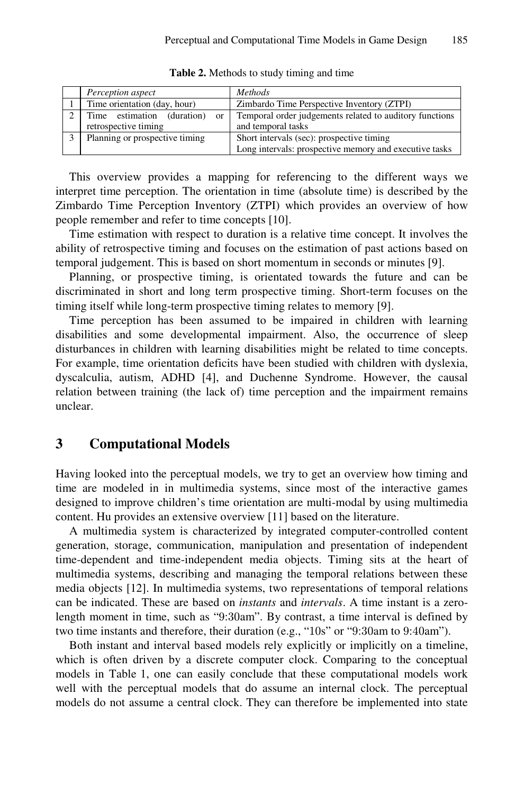| Perception aspect                                             | Methods                                                                       |
|---------------------------------------------------------------|-------------------------------------------------------------------------------|
| Time orientation (day, hour)                                  | Zimbardo Time Perspective Inventory (ZTPI)                                    |
| Time estimation<br>(duration)<br>or 1<br>retrospective timing | Temporal order judgements related to auditory functions<br>and temporal tasks |
| Planning or prospective timing                                | Short intervals (sec): prospective timing                                     |
|                                                               | Long intervals: prospective memory and executive tasks                        |

**Table 2.** Methods to study timing and time

This overview provides a mapping for referencing to the different ways we interpret time perception. The orientation in time (absolute time) is described by the Zimbardo Time Perception Inventory (ZTPI) which provides an overview of how people remember and refer to time concepts [10].

Time estimation with respect to duration is a relative time concept. It involves the ability of retrospective timing and focuses on the estimation of past actions based on temporal judgement. This is based on short momentum in seconds or minutes [9].

Planning, or prospective timing, is orientated towards the future and can be discriminated in short and long term prospective timing. Short-term focuses on the timing itself while long-term prospective timing relates to memory [9].

Time perception has been assumed to be impaired in children with learning disabilities and some developmental impairment. Also, the occurrence of sleep disturbances in children with learning disabilities might be related to time concepts. For example, time orientation deficits have been studied with children with dyslexia, dyscalculia, autism, ADHD [4], and Duchenne Syndrome. However, the causal relation between training (the lack of) time perception and the impairment remains unclear.

#### **3 Computational Models**

Having looked into the perceptual models, we try to get an overview how timing and time are modeled in in multimedia systems, since most of the interactive games designed to improve children's time orientation are multi-modal by using multimedia content. Hu provides an extensive overview [11] based on the literature.

A multimedia system is characterized by integrated computer-controlled content generation, storage, communication, manipulation and presentation of independent time-dependent and time-independent media objects. Timing sits at the heart of multimedia systems, describing and managing the temporal relations between these media objects [12]. In multimedia systems, two representations of temporal relations can be indicated. These are based on *instants* and *intervals*. A time instant is a zerolength moment in time, such as "9:30am". By contrast, a time interval is defined by two time instants and therefore, their duration (e.g., "10s" or "9:30am to 9:40am").

Both instant and interval based models rely explicitly or implicitly on a timeline, which is often driven by a discrete computer clock. Comparing to the conceptual models in Table 1, one can easily conclude that these computational models work well with the perceptual models that do assume an internal clock. The perceptual models do not assume a central clock. They can therefore be implemented into state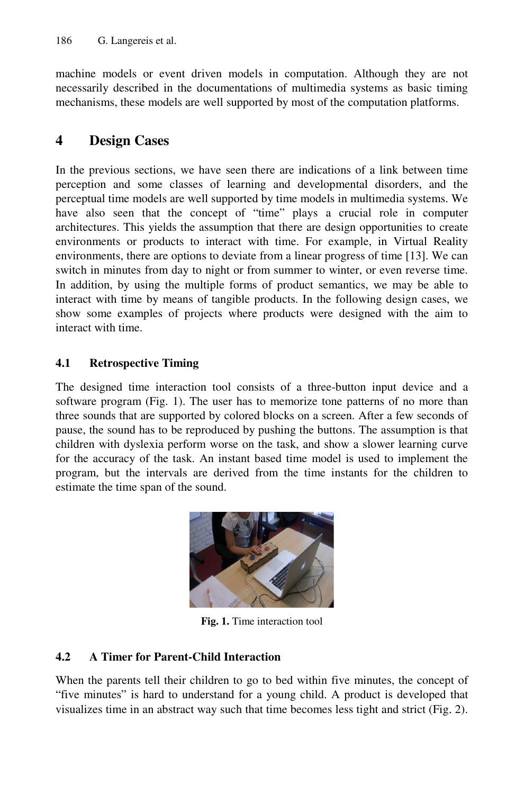machine models or event driven models in computation. Although they are not necessarily described in the documentations of multimedia systems as basic timing mechanisms, these models are well supported by most of the computation platforms.

## **4 Design Cases**

In the previous sections, we have seen there are indications of a link between time perception and some clas sses of learning and developmental disorders, and the perceptual time models are well supported by time models in multimedia systems. We have also seen that the concept of "time" plays a crucial role in computer architectures. This yields the assumption that there are design opportunities to create environments or products to interact with time. For example, in Virtual Reality environments, there are options to deviate from a linear progress of time [13]. We can switch in minutes from day to night or from summer to winter, or even reverse time. In addition, by using the multiple forms of product semantics, we may be able to interact with time by means of tangible products. In the following design cases, we show some examples of p projects where products were designed with the aim m to interact with time.

### **4.1 Retrospective Timi ing**

The designed time interaction tool consists of a three-button input device and a software program (Fig. 1). The user has to memorize tone patterns of no more than three sounds that are supported by colored blocks on a screen. After a few seconds of pause, the sound has to be reproduced by pushing the buttons. The assumption is that children with dyslexia perform worse on the task, and show a slower learning curve for the accuracy of the tas k. An instant based time model is used to implement the program, but the intervals are derived from the time instants for the children to estimate the time span of the sound.



**Fig. 1.** Time interaction tool

#### **4.2 A Timer for Parent t-Child Interaction**

When the parents tell their children to go to bed within five minutes, the concept of "five minutes" is hard to understand for a young child. A product is developed that visualizes time in an abstract way such that time becomes less tight and strict (Fig. 2).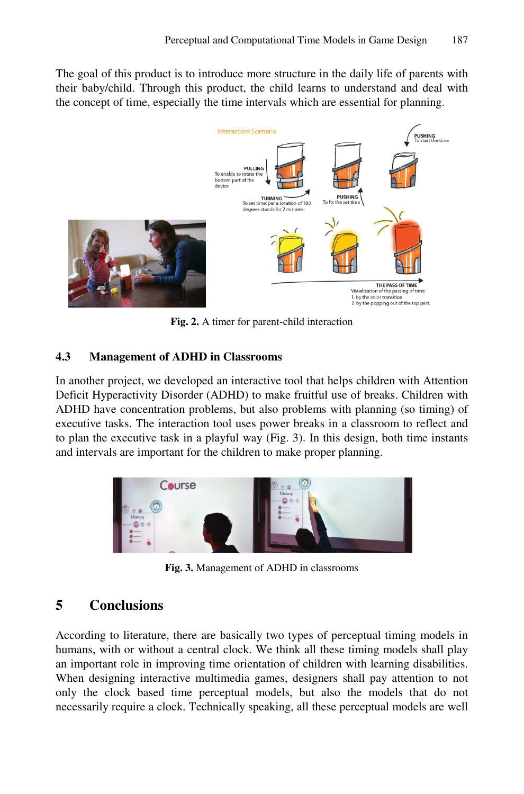The goal of this product is to introduce more structure in the daily life of parents with their baby/child. Through this product, the child learns to understand and deal with the concept of time, especially the time intervals which are essential for planning.



**Fig . 2.** A timer for parent-child interaction

#### **4.3 Management of ADHD in Classrooms**

In another project, we developed an interactive tool that helps children with Attention Deficit Hyperactivity Disorder (ADHD) to make fruitful use of breaks. Children with ADHD have concentration problems, but also problems with planning (so timing) ) of executive tasks. The interaction tool uses power breaks in a classroom to reflect and to plan the executive task in a playful way (Fig. 3). In this design, both time instants and intervals are important for the children to make proper planning.



**Fig. 3 3.** Management of ADHD in classrooms

### **5 Conclusions**

According to literature, there are basically two types of perceptual timing models in humans, with or without a central clock. We think all these timing models shall play an important role in improving time orientation of children with learning disabilities. When designing interactive multimedia games, designers shall pay attention to not only the clock based tim me perceptual models, but also the models that do not necessarily require a clock. Technically speaking, all these perceptual models are well